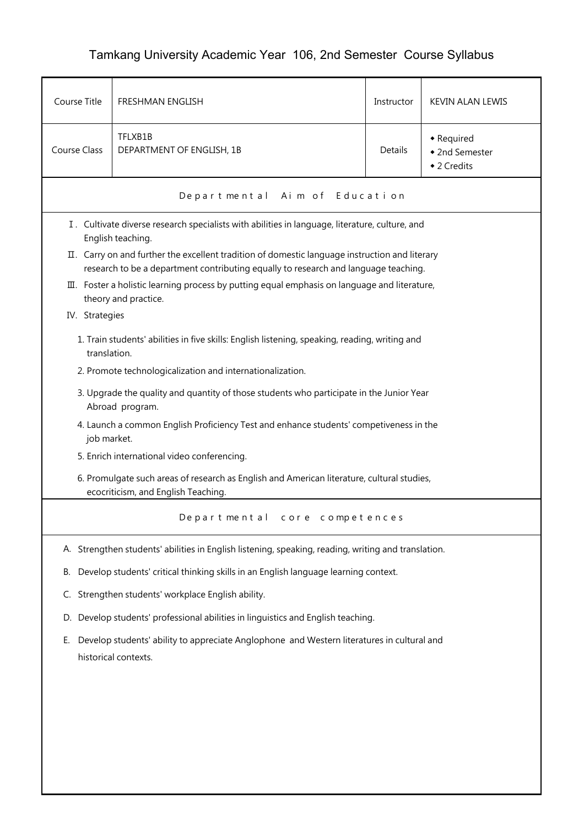## Tamkang University Academic Year 106, 2nd Semester Course Syllabus

| Course Title        | <b>FRESHMAN ENGLISH</b>                                                                                                                                                               | Instructor | <b>KEVIN ALAN LEWIS</b>                     |  |
|---------------------|---------------------------------------------------------------------------------------------------------------------------------------------------------------------------------------|------------|---------------------------------------------|--|
| <b>Course Class</b> | TFLXB1B<br>DEPARTMENT OF ENGLISH, 1B                                                                                                                                                  | Details    | • Required<br>◆ 2nd Semester<br>◆ 2 Credits |  |
|                     | Departmental Aim of Education                                                                                                                                                         |            |                                             |  |
|                     | I. Cultivate diverse research specialists with abilities in language, literature, culture, and<br>English teaching.                                                                   |            |                                             |  |
|                     | II. Carry on and further the excellent tradition of domestic language instruction and literary<br>research to be a department contributing equally to research and language teaching. |            |                                             |  |
|                     | III. Foster a holistic learning process by putting equal emphasis on language and literature,<br>theory and practice.                                                                 |            |                                             |  |
| IV. Strategies      |                                                                                                                                                                                       |            |                                             |  |
| translation.        | 1. Train students' abilities in five skills: English listening, speaking, reading, writing and                                                                                        |            |                                             |  |
|                     | 2. Promote technologicalization and internationalization.                                                                                                                             |            |                                             |  |
|                     | 3. Upgrade the quality and quantity of those students who participate in the Junior Year<br>Abroad program.                                                                           |            |                                             |  |
| job market.         | 4. Launch a common English Proficiency Test and enhance students' competiveness in the                                                                                                |            |                                             |  |
|                     | 5. Enrich international video conferencing.                                                                                                                                           |            |                                             |  |
|                     | 6. Promulgate such areas of research as English and American literature, cultural studies,<br>ecocriticism, and English Teaching.                                                     |            |                                             |  |
|                     | Departmental core competences                                                                                                                                                         |            |                                             |  |
|                     | A. Strengthen students' abilities in English listening, speaking, reading, writing and translation.                                                                                   |            |                                             |  |
| В.                  | Develop students' critical thinking skills in an English language learning context.                                                                                                   |            |                                             |  |
| C.                  | Strengthen students' workplace English ability.                                                                                                                                       |            |                                             |  |
|                     | D. Develop students' professional abilities in linguistics and English teaching.                                                                                                      |            |                                             |  |
| Е.                  | Develop students' ability to appreciate Anglophone and Western literatures in cultural and<br>historical contexts.                                                                    |            |                                             |  |
|                     |                                                                                                                                                                                       |            |                                             |  |
|                     |                                                                                                                                                                                       |            |                                             |  |
|                     |                                                                                                                                                                                       |            |                                             |  |
|                     |                                                                                                                                                                                       |            |                                             |  |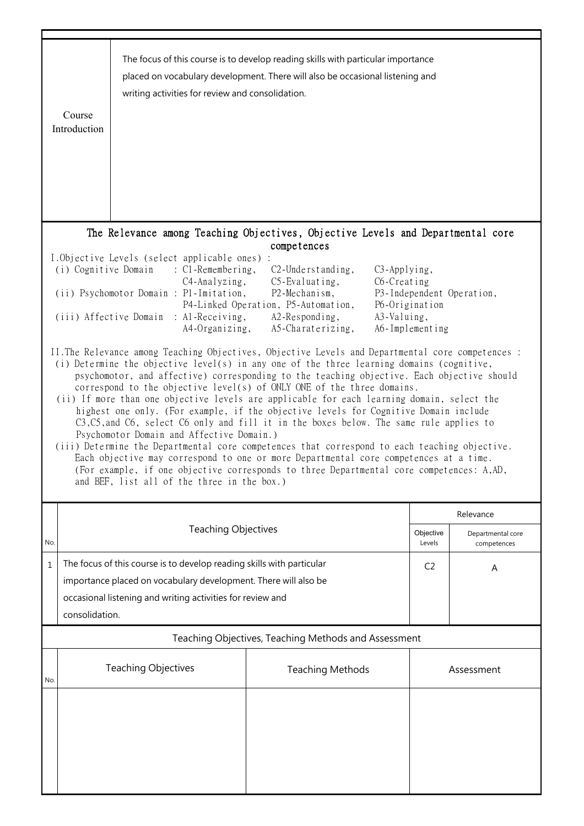|     | Course<br>Introduction                                                                                                                                                                                                                                                                                                                                                                                                                                                                                                                                                                                                                                                                                                                                                                                                                                                                                                                                                                                                                    | writing activities for review and consolidation.                                                                                                                                                       | The focus of this course is to develop reading skills with particular importance<br>placed on vocabulary development. There will also be occasional listening and |                     |                                  |  |
|-----|-------------------------------------------------------------------------------------------------------------------------------------------------------------------------------------------------------------------------------------------------------------------------------------------------------------------------------------------------------------------------------------------------------------------------------------------------------------------------------------------------------------------------------------------------------------------------------------------------------------------------------------------------------------------------------------------------------------------------------------------------------------------------------------------------------------------------------------------------------------------------------------------------------------------------------------------------------------------------------------------------------------------------------------------|--------------------------------------------------------------------------------------------------------------------------------------------------------------------------------------------------------|-------------------------------------------------------------------------------------------------------------------------------------------------------------------|---------------------|----------------------------------|--|
|     | The Relevance among Teaching Objectives, Objective Levels and Departmental core<br>competences<br>I.Objective Levels (select applicable ones) :<br>(i) Cognitive Domain<br>$\therefore$ C1-Remembering,<br>$C2$ -Understanding,<br>C3-Applying,<br>$C5$ -Evaluating,<br>C6-Creating<br>$C4$ -Analyzing,<br>(ii) Psychomotor Domain : P1-Imitation,<br>P2-Mechanism,<br>P3-Independent Operation,<br>P4-Linked Operation, P5-Automation,<br>P6-Origination<br>A2-Responding,<br>A3-Valuing,<br>(iii) Affective Domain : Al-Receiving,<br>A5-Charaterizing,<br>A6-Implementing<br>A4-Organizing,                                                                                                                                                                                                                                                                                                                                                                                                                                            |                                                                                                                                                                                                        |                                                                                                                                                                   |                     |                                  |  |
|     | II. The Relevance among Teaching Objectives, Objective Levels and Departmental core competences :<br>(i) Determine the objective level(s) in any one of the three learning domains (cognitive,<br>psychomotor, and affective) corresponding to the teaching objective. Each objective should<br>correspond to the objective level(s) of ONLY ONE of the three domains.<br>(ii) If more than one objective levels are applicable for each learning domain, select the<br>highest one only. (For example, if the objective levels for Cognitive Domain include<br>C3, C5, and C6, select C6 only and fill it in the boxes below. The same rule applies to<br>Psychomotor Domain and Affective Domain.)<br>(iii) Determine the Departmental core competences that correspond to each teaching objective.<br>Each objective may correspond to one or more Departmental core competences at a time.<br>(For example, if one objective corresponds to three Departmental core competences: A,AD,<br>and BEF, list all of the three in the box.) |                                                                                                                                                                                                        |                                                                                                                                                                   |                     |                                  |  |
|     |                                                                                                                                                                                                                                                                                                                                                                                                                                                                                                                                                                                                                                                                                                                                                                                                                                                                                                                                                                                                                                           |                                                                                                                                                                                                        |                                                                                                                                                                   |                     | Relevance                        |  |
| No. |                                                                                                                                                                                                                                                                                                                                                                                                                                                                                                                                                                                                                                                                                                                                                                                                                                                                                                                                                                                                                                           | <b>Teaching Objectives</b>                                                                                                                                                                             |                                                                                                                                                                   | Objective<br>Levels | Departmental core<br>competences |  |
| 1   | consolidation.                                                                                                                                                                                                                                                                                                                                                                                                                                                                                                                                                                                                                                                                                                                                                                                                                                                                                                                                                                                                                            | The focus of this course is to develop reading skills with particular<br>importance placed on vocabulary development. There will also be<br>occasional listening and writing activities for review and |                                                                                                                                                                   | C <sub>2</sub>      | A                                |  |
|     | Teaching Objectives, Teaching Methods and Assessment                                                                                                                                                                                                                                                                                                                                                                                                                                                                                                                                                                                                                                                                                                                                                                                                                                                                                                                                                                                      |                                                                                                                                                                                                        |                                                                                                                                                                   |                     |                                  |  |
| No. |                                                                                                                                                                                                                                                                                                                                                                                                                                                                                                                                                                                                                                                                                                                                                                                                                                                                                                                                                                                                                                           | <b>Teaching Objectives</b>                                                                                                                                                                             | <b>Teaching Methods</b>                                                                                                                                           |                     | Assessment                       |  |
|     |                                                                                                                                                                                                                                                                                                                                                                                                                                                                                                                                                                                                                                                                                                                                                                                                                                                                                                                                                                                                                                           |                                                                                                                                                                                                        |                                                                                                                                                                   |                     |                                  |  |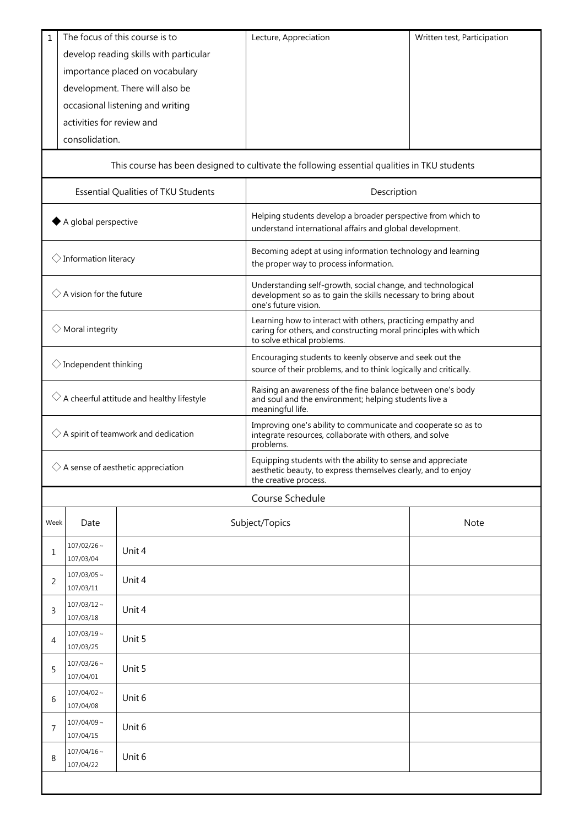| $\mathbf{1}$                                         |                                 | The focus of this course is to      | Lecture, Appreciation                                                                                                                                         | Written test, Participation |  |
|------------------------------------------------------|---------------------------------|-------------------------------------|---------------------------------------------------------------------------------------------------------------------------------------------------------------|-----------------------------|--|
| develop reading skills with particular               |                                 |                                     |                                                                                                                                                               |                             |  |
| importance placed on vocabulary                      |                                 |                                     |                                                                                                                                                               |                             |  |
|                                                      | development. There will also be |                                     |                                                                                                                                                               |                             |  |
|                                                      |                                 | occasional listening and writing    |                                                                                                                                                               |                             |  |
|                                                      | activities for review and       |                                     |                                                                                                                                                               |                             |  |
|                                                      | consolidation.                  |                                     |                                                                                                                                                               |                             |  |
|                                                      |                                 |                                     |                                                                                                                                                               |                             |  |
|                                                      |                                 |                                     | This course has been designed to cultivate the following essential qualities in TKU students                                                                  |                             |  |
|                                                      |                                 | Essential Qualities of TKU Students | Description                                                                                                                                                   |                             |  |
| A global perspective                                 |                                 |                                     | Helping students develop a broader perspective from which to<br>understand international affairs and global development.                                      |                             |  |
| $\diamondsuit$ Information literacy                  |                                 |                                     | Becoming adept at using information technology and learning<br>the proper way to process information.                                                         |                             |  |
| $\Diamond$ A vision for the future                   |                                 |                                     | Understanding self-growth, social change, and technological<br>development so as to gain the skills necessary to bring about<br>one's future vision.          |                             |  |
| $\diamondsuit$ Moral integrity                       |                                 |                                     | Learning how to interact with others, practicing empathy and<br>caring for others, and constructing moral principles with which<br>to solve ethical problems. |                             |  |
| $\diamondsuit$ Independent thinking                  |                                 |                                     | Encouraging students to keenly observe and seek out the<br>source of their problems, and to think logically and critically.                                   |                             |  |
| $\Diamond$ A cheerful attitude and healthy lifestyle |                                 |                                     | Raising an awareness of the fine balance between one's body<br>and soul and the environment; helping students live a<br>meaningful life.                      |                             |  |
| $\diamondsuit$ A spirit of teamwork and dedication   |                                 |                                     | Improving one's ability to communicate and cooperate so as to<br>integrate resources, collaborate with others, and solve<br>problems.                         |                             |  |
| $\diamondsuit$ A sense of aesthetic appreciation     |                                 |                                     | Equipping students with the ability to sense and appreciate<br>aesthetic beauty, to express themselves clearly, and to enjoy<br>the creative process.         |                             |  |
|                                                      |                                 |                                     | Course Schedule                                                                                                                                               |                             |  |
| Week                                                 | Date                            |                                     | Subject/Topics                                                                                                                                                | Note                        |  |
| 1                                                    | $107/02/26 \sim$<br>107/03/04   | Unit 4                              |                                                                                                                                                               |                             |  |
| 2                                                    | $107/03/05$ ~<br>107/03/11      | Unit 4                              |                                                                                                                                                               |                             |  |
| 3                                                    | $107/03/12$ ~<br>107/03/18      | Unit 4                              |                                                                                                                                                               |                             |  |
| 4                                                    | $107/03/19$ ~<br>107/03/25      | Unit 5                              |                                                                                                                                                               |                             |  |
| 5                                                    | $107/03/26$ ~<br>107/04/01      | Unit 5                              |                                                                                                                                                               |                             |  |
| 6                                                    | $107/04/02 \sim$<br>107/04/08   | Unit 6                              |                                                                                                                                                               |                             |  |
| 7                                                    | $107/04/09$ ~<br>107/04/15      | Unit 6                              |                                                                                                                                                               |                             |  |
| 8                                                    | $107/04/16$ ~<br>107/04/22      | Unit 6                              |                                                                                                                                                               |                             |  |
|                                                      |                                 |                                     |                                                                                                                                                               |                             |  |